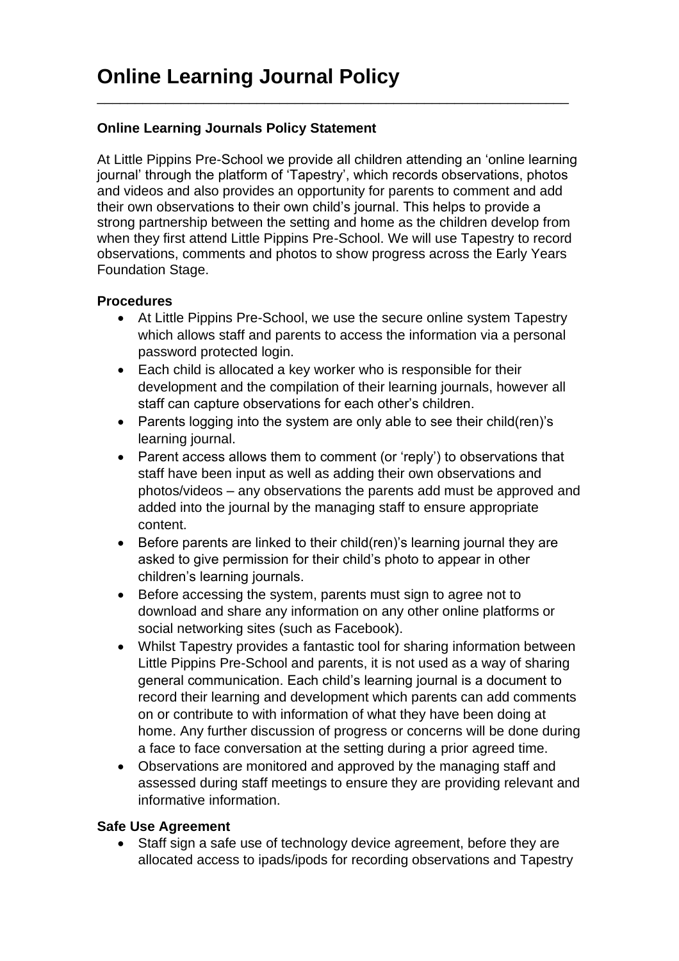## **Online Learning Journals Policy Statement**

At Little Pippins Pre-School we provide all children attending an 'online learning journal' through the platform of 'Tapestry', which records observations, photos and videos and also provides an opportunity for parents to comment and add their own observations to their own child's journal. This helps to provide a strong partnership between the setting and home as the children develop from when they first attend Little Pippins Pre-School. We will use Tapestry to record observations, comments and photos to show progress across the Early Years Foundation Stage.

\_\_\_\_\_\_\_\_\_\_\_\_\_\_\_\_\_\_\_\_\_\_\_\_\_\_\_\_\_\_\_\_\_\_\_\_\_\_\_\_\_\_\_\_\_\_\_\_\_\_\_\_\_\_\_\_\_\_\_\_\_\_

## **Procedures**

- At Little Pippins Pre-School, we use the secure online system Tapestry which allows staff and parents to access the information via a personal password protected login.
- Each child is allocated a key worker who is responsible for their development and the compilation of their learning journals, however all staff can capture observations for each other's children.
- Parents logging into the system are only able to see their child(ren)'s learning journal.
- Parent access allows them to comment (or 'reply') to observations that staff have been input as well as adding their own observations and photos/videos – any observations the parents add must be approved and added into the journal by the managing staff to ensure appropriate content.
- Before parents are linked to their child(ren)'s learning journal they are asked to give permission for their child's photo to appear in other children's learning journals.
- Before accessing the system, parents must sign to agree not to download and share any information on any other online platforms or social networking sites (such as Facebook).
- Whilst Tapestry provides a fantastic tool for sharing information between Little Pippins Pre-School and parents, it is not used as a way of sharing general communication. Each child's learning journal is a document to record their learning and development which parents can add comments on or contribute to with information of what they have been doing at home. Any further discussion of progress or concerns will be done during a face to face conversation at the setting during a prior agreed time.
- Observations are monitored and approved by the managing staff and assessed during staff meetings to ensure they are providing relevant and informative information.

## **Safe Use Agreement**

• Staff sign a safe use of technology device agreement, before they are allocated access to ipads/ipods for recording observations and Tapestry